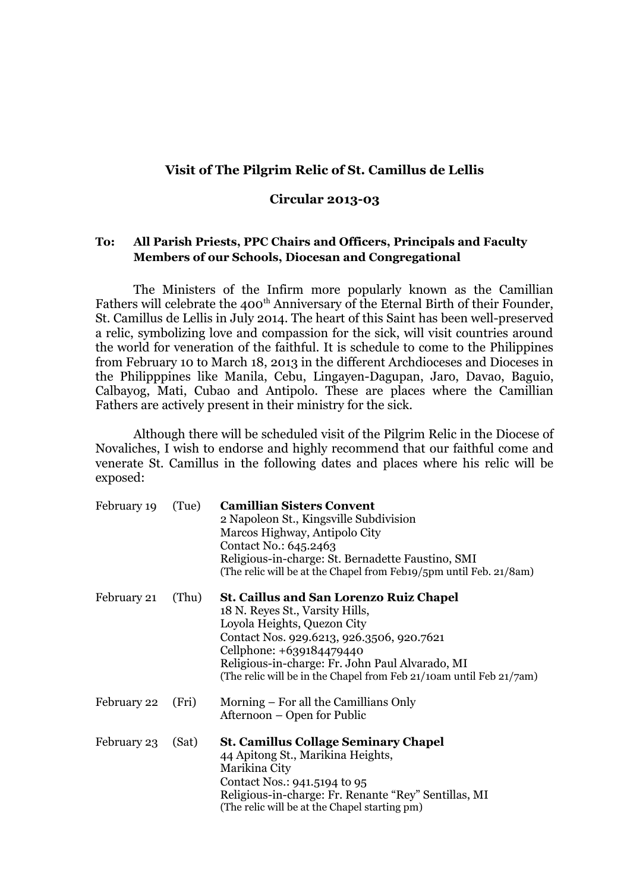## **Visit of The Pilgrim Relic of St. Camillus de Lellis**

## **Circular 2013-03**

## **To: All Parish Priests, PPC Chairs and Officers, Principals and Faculty Members of our Schools, Diocesan and Congregational**

The Ministers of the Infirm more popularly known as the Camillian Fathers will celebrate the 400<sup>th</sup> Anniversary of the Eternal Birth of their Founder, St. Camillus de Lellis in July 2014. The heart of this Saint has been well-preserved a relic, symbolizing love and compassion for the sick, will visit countries around the world for veneration of the faithful. It is schedule to come to the Philippines from February 10 to March 18, 2013 in the different Archdioceses and Dioceses in the Philipppines like Manila, Cebu, Lingayen-Dagupan, Jaro, Davao, Baguio, Calbayog, Mati, Cubao and Antipolo. These are places where the Camillian Fathers are actively present in their ministry for the sick.

Although there will be scheduled visit of the Pilgrim Relic in the Diocese of Novaliches, I wish to endorse and highly recommend that our faithful come and venerate St. Camillus in the following dates and places where his relic will be exposed:

| February 19 | (Tue) | <b>Camillian Sisters Convent</b><br>2 Napoleon St., Kingsville Subdivision<br>Marcos Highway, Antipolo City<br>Contact No.: 645.2463<br>Religious-in-charge: St. Bernadette Faustino, SMI<br>(The relic will be at the Chapel from Feb19/5pm until Feb. 21/8am)                                                     |
|-------------|-------|---------------------------------------------------------------------------------------------------------------------------------------------------------------------------------------------------------------------------------------------------------------------------------------------------------------------|
| February 21 | (Thu) | <b>St. Caillus and San Lorenzo Ruiz Chapel</b><br>18 N. Reyes St., Varsity Hills,<br>Loyola Heights, Quezon City<br>Contact Nos. 929.6213, 926.3506, 920.7621<br>Cellphone: +639184479440<br>Religious-in-charge: Fr. John Paul Alvarado, MI<br>(The relic will be in the Chapel from Feb 21/10am until Feb 21/7am) |
| February 22 | (Fri) | Morning – For all the Camillians Only<br>Afternoon – Open for Public                                                                                                                                                                                                                                                |
| February 23 | (Sat) | <b>St. Camillus Collage Seminary Chapel</b><br>44 Apitong St., Marikina Heights,<br>Marikina City<br>Contact Nos.: 941.5194 to 95<br>Religious-in-charge: Fr. Renante "Rey" Sentillas, MI<br>(The relic will be at the Chapel starting pm)                                                                          |